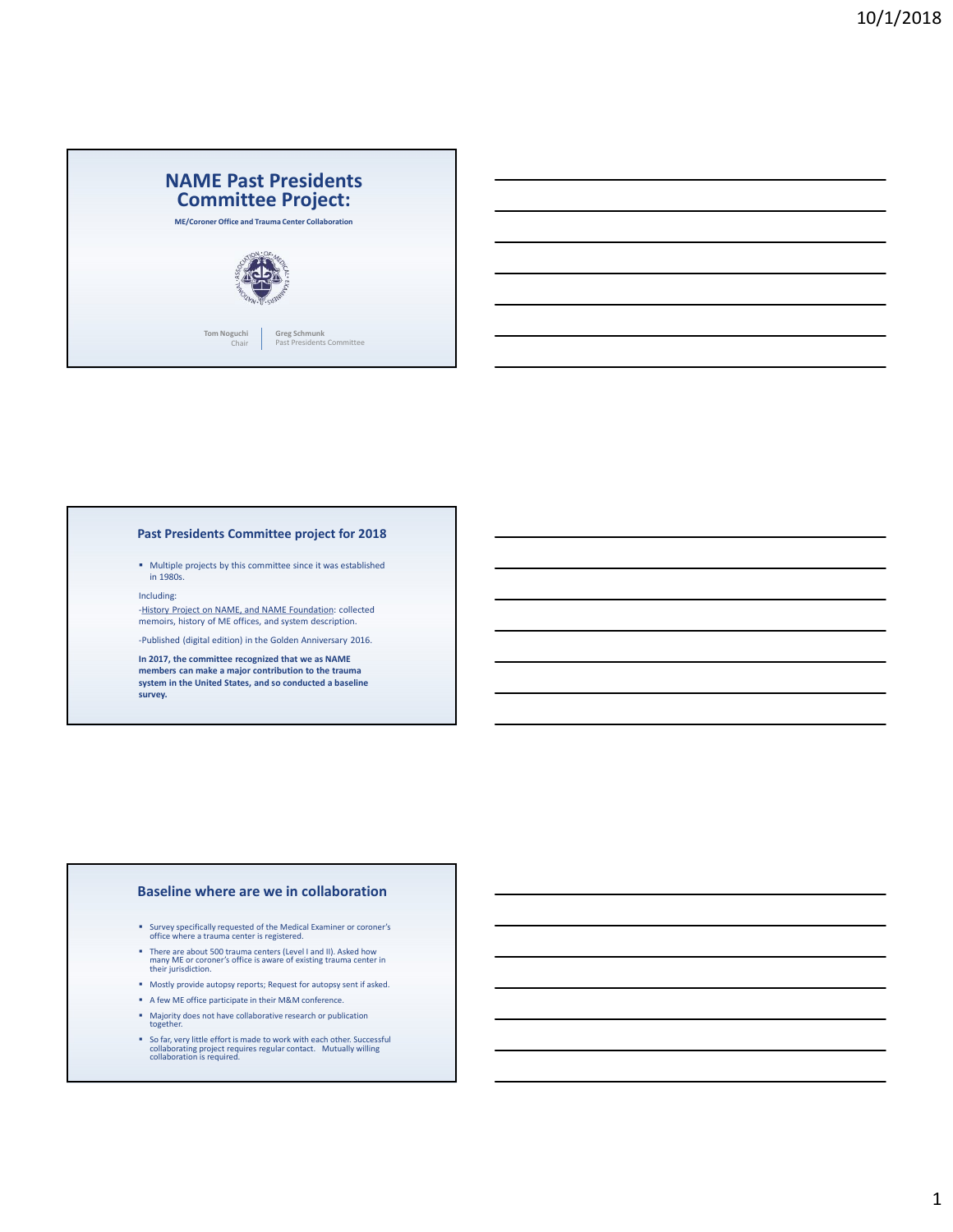

### Past Presidents Committee project for 2018

Multiple projects by this committee since it was established in 1980s.

Including:

-History Project on NAME, and NAME Foundation: collected memoirs, history of ME offices, and system description.

-Published (digital edition) in the Golden Anniversary 2016.

In 2017, the committee recognized that we as NAME members can make a major contribution to the trauma<br>system in the United States, and so conducted a baseline<br>survey.

### Baseline where are we in collaboration

- Survey specifically requested of the Medical Examiner or coroner's office where a trauma center is registered.
- There are about 500 trauma centers (Level I and II). Asked how many ME or coroner's office is aware of existing trauma center in their jurisdiction.
- Mostly provide autopsy reports; Request for autopsy sent if asked.
- A few ME office participate in their M&M conference.
- Majority does not have collaborative research or publication together.
- So far, very little effort is made to work with each other. Successful collaborating project requires regular contact. Mutually willing collaboration is required.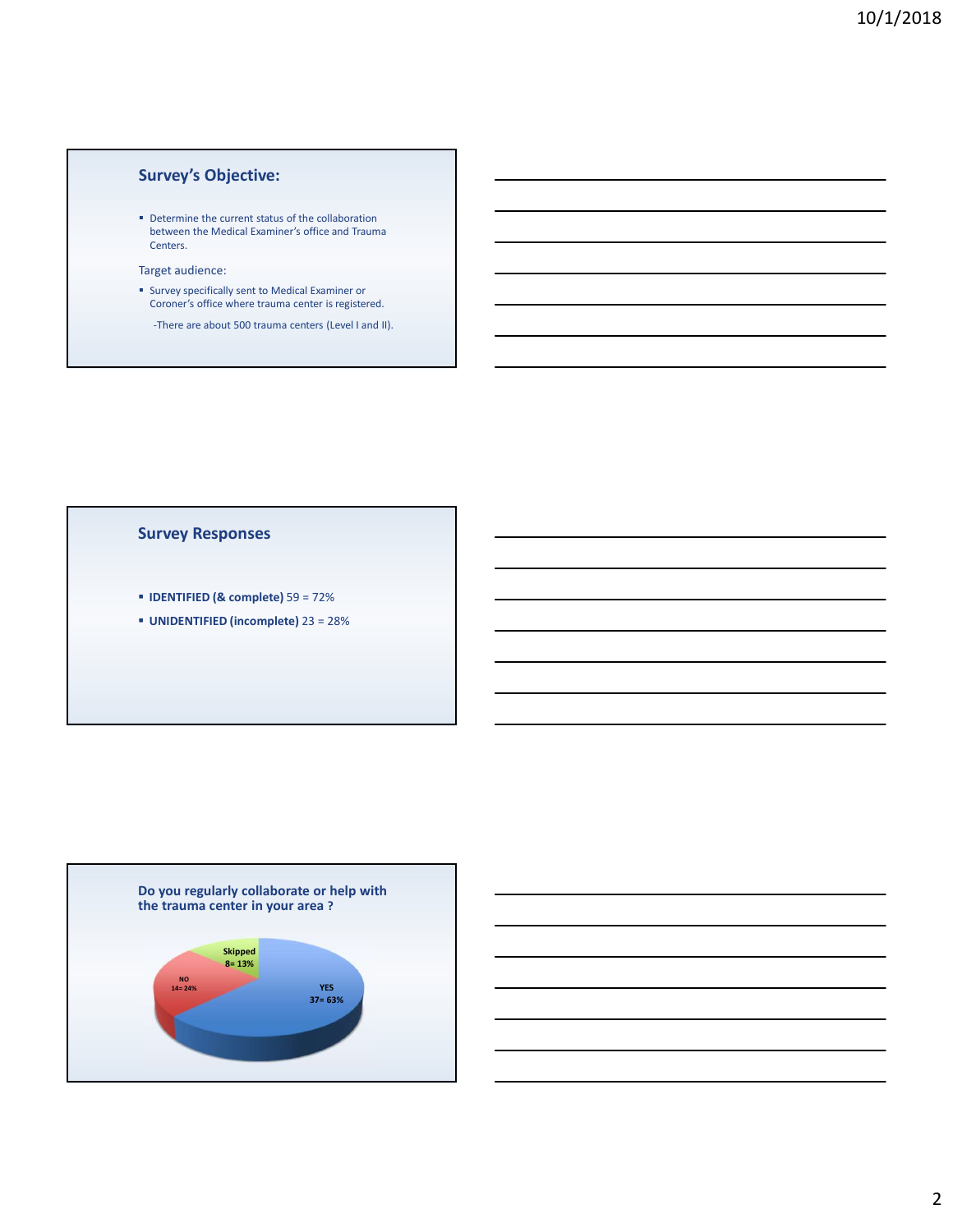# Survey's Objective:

Determine the current status of the collaboration between the Medical Examiner's office and Trauma Centers.

### Target audience:

- Survey specifically sent to Medical Examiner or Coroner's office where trauma center is registered.
	- -There are about 500 trauma centers (Level I and II).

### Survey Responses

- IDENTIFIED (& complete) 59 = 72%
- UNIDENTIFIED (incomplete) 23 = 28%



## 2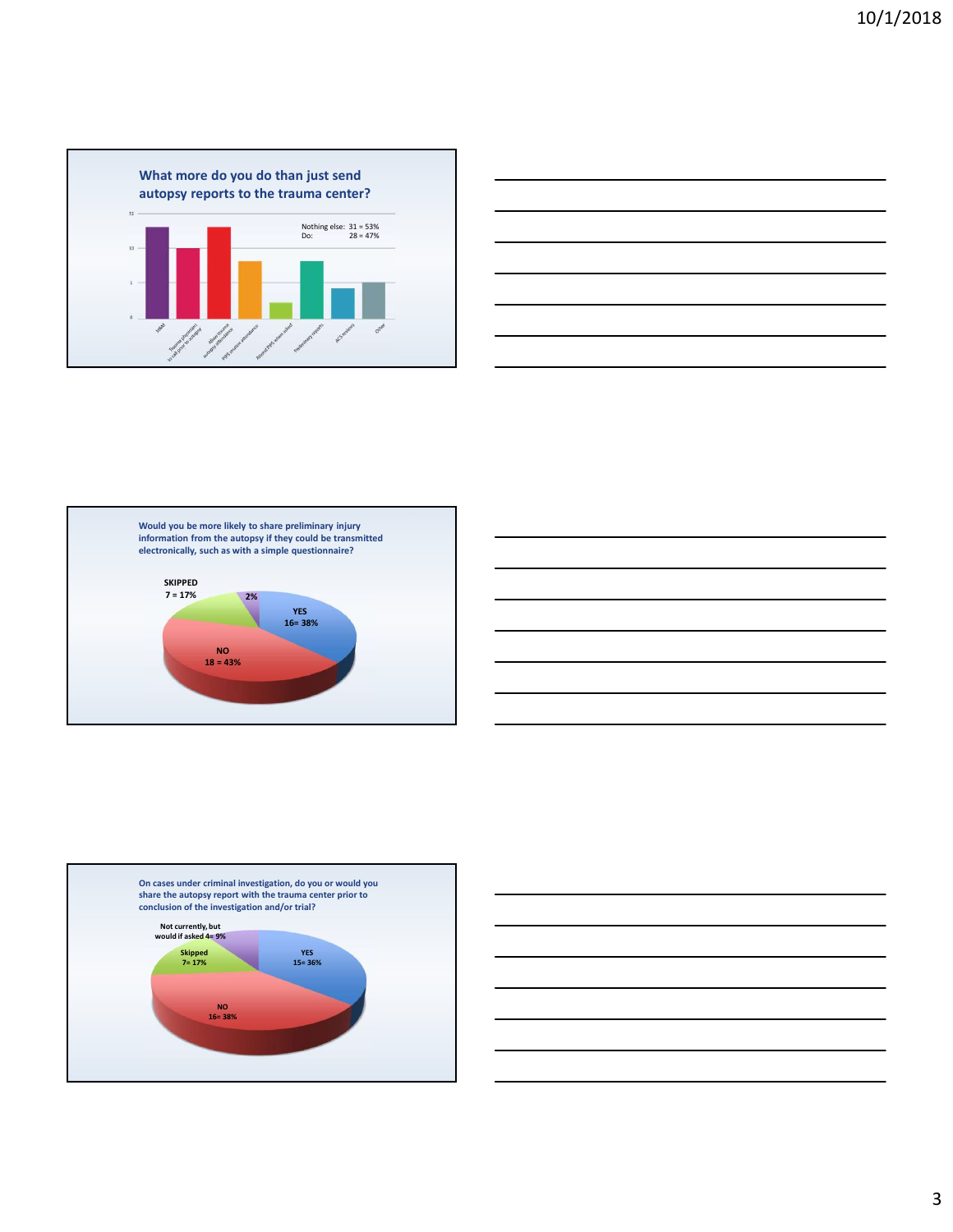









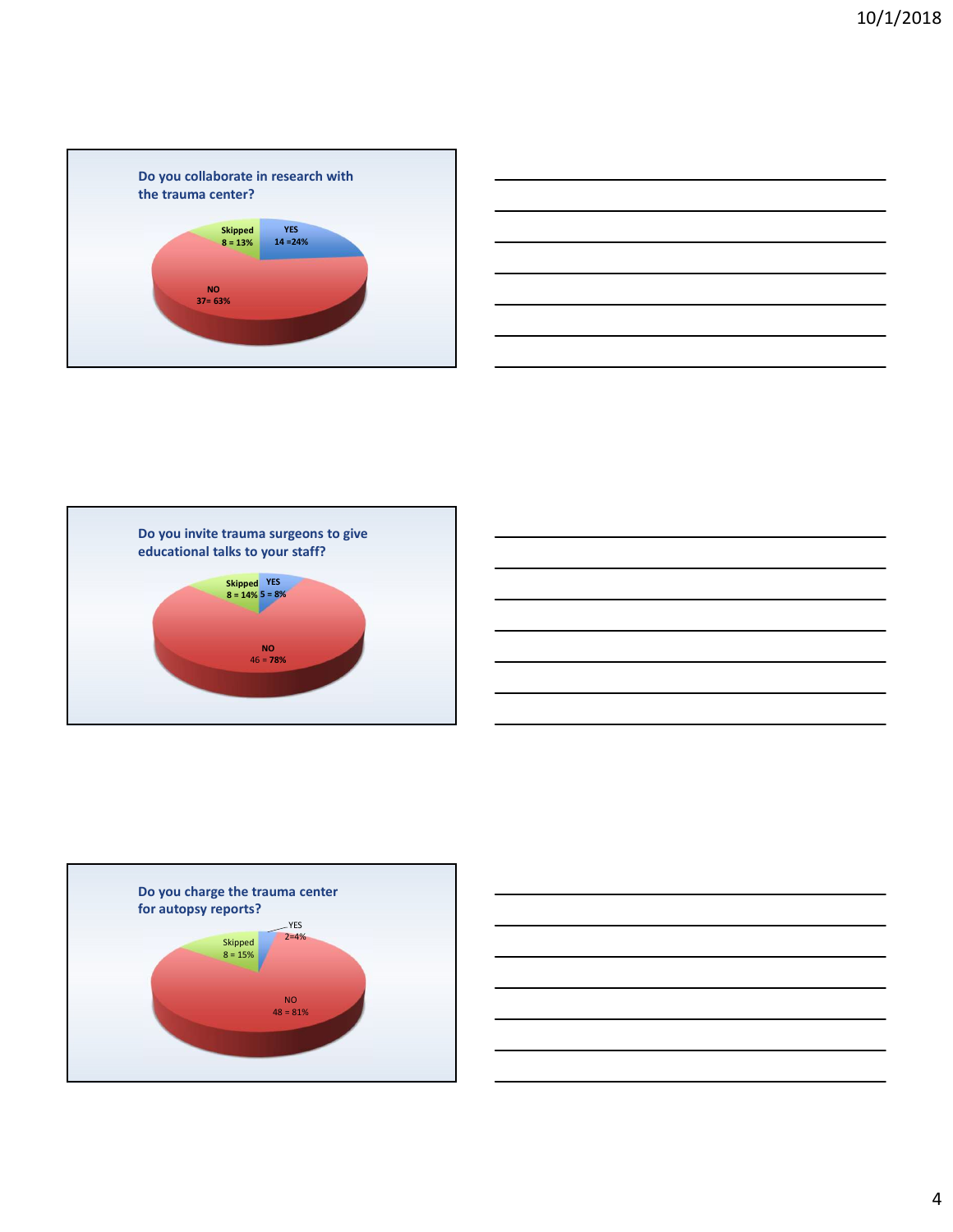